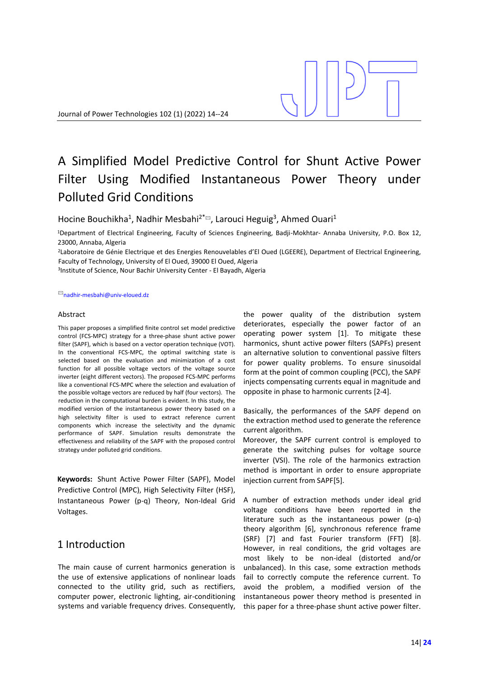# A Simplified Model Predictive Control for Shunt Active Power Filter Using Modified Instantaneous Power Theory under Polluted Grid Conditions

Hocine Bouchikha<sup>1</sup>, Nadhir Mesbahi<sup>2\*</sup><sup>□</sup>, Larouci Heguig<sup>3</sup>, Ahmed Ouari<sup>1</sup>

<sup>1</sup>Department of Electrical Engineering, Faculty of Sciences Engineering, Badji-Mokhtar- Annaba University, P.O. Box 12, 23000, Annaba, Algeria

<sup>2</sup>Laboratoire de Génie Electrique et des Energies Renouvelables d'El Oued (LGEERE), Department of Electrical Engineering, Faculty of Technology, University of El Oued, 39000 El Oued, Algeria

3 Institute of Science, Nour Bachir University Center - El Bayadh, Algeria

#### ✉nadhir-mesbahi@univ-eloued.dz

## Abstract

This paper proposes a simplified finite control set model predictive control (FCS-MPC) strategy for a three-phase shunt active power filter (SAPF), which is based on a vector operation technique (VOT). In the conventional FCS-MPC, the optimal switching state is selected based on the evaluation and minimization of a cost function for all possible voltage vectors of the voltage source inverter (eight different vectors). The proposed FCS-MPC performs like a conventional FCS-MPC where the selection and evaluation of the possible voltage vectors are reduced by half (four vectors). The reduction in the computational burden is evident. In this study, the modified version of the instantaneous power theory based on a high selectivity filter is used to extract reference current components which increase the selectivity and the dynamic performance of SAPF. Simulation results demonstrate the effectiveness and reliability of the SAPF with the proposed control strategy under polluted grid conditions.

**Keywords:** Shunt Active Power Filter (SAPF), Model Predictive Control (MPC), High Selectivity Filter (HSF), Instantaneous Power (p-q) Theory, Non-Ideal Grid Voltages.

## 1 Introduction

The main cause of current harmonics generation is the use of extensive applications of nonlinear loads connected to the utility grid, such as rectifiers, computer power, electronic lighting, air-conditioning systems and variable frequency drives. Consequently, the power quality of the distribution system deteriorates, especially the power factor of an operating power system [1]. To mitigate these harmonics, shunt active power filters (SAPFs) present an alternative solution to conventional passive filters for power quality problems. To ensure sinusoidal form at the point of common coupling (PCC), the SAPF injects compensating currents equal in magnitude and opposite in phase to harmonic currents [2-4].

Basically, the performances of the SAPF depend on the extraction method used to generate the reference current algorithm.

Moreover, the SAPF current control is employed to generate the switching pulses for voltage source inverter (VSI). The role of the harmonics extraction method is important in order to ensure appropriate injection current from SAPF[5].

A number of extraction methods under ideal grid voltage conditions have been reported in the literature such as the instantaneous power (p-q) theory algorithm [6], synchronous reference frame (SRF) [7] and fast Fourier transform (FFT) [8]. However, in real conditions, the grid voltages are most likely to be non-ideal (distorted and/or unbalanced). In this case, some extraction methods fail to correctly compute the reference current. To avoid the problem, a modified version of the instantaneous power theory method is presented in this paper for a three-phase shunt active power filter.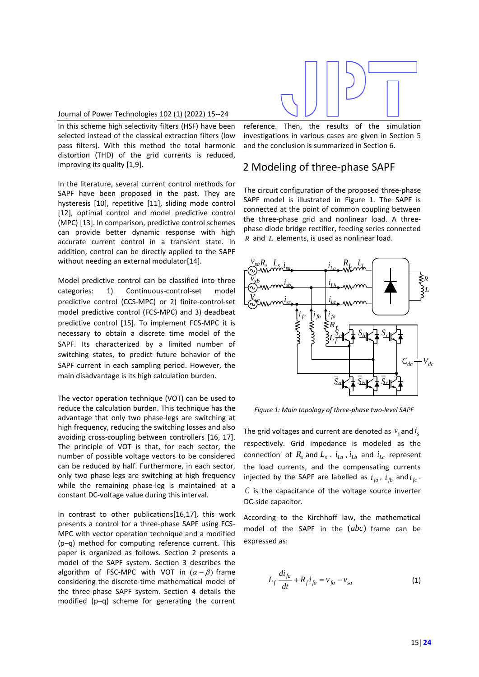

### Journal of Power Technologies 102 (1) (2022) 15--24

In this scheme high selectivity filters (HSF) have been selected instead of the classical extraction filters (low pass filters). With this method the total harmonic distortion (THD) of the grid currents is reduced, improving its quality [1,9].

In the literature, several current control methods for SAPF have been proposed in the past. They are hysteresis [10], repetitive [11], sliding mode control [12], optimal control and model predictive control (MPC) [13]. In comparison, predictive control schemes can provide better dynamic response with high accurate current control in a transient state. In addition, control can be directly applied to the SAPF without needing an external modulator[14].

Model predictive control can be classified into three categories: 1) Continuous-control-set model predictive control (CCS-MPC) or 2) finite-control-set model predictive control (FCS-MPC) and 3) deadbeat predictive control [15]. To implement FCS-MPC it is necessary to obtain a discrete time model of the SAPF. Its characterized by a limited number of switching states, to predict future behavior of the SAPF current in each sampling period. However, the main disadvantage is its high calculation burden.

The vector operation technique (VOT) can be used to reduce the calculation burden. This technique has the advantage that only two phase-legs are switching at high frequency, reducing the switching losses and also avoiding cross-coupling between controllers [16, 17]. The principle of VOT is that, for each sector, the number of possible voltage vectors to be considered can be reduced by half. Furthermore, in each sector, only two phase-legs are switching at high frequency while the remaining phase-leg is maintained at a constant DC-voltage value during this interval.

In contrast to other publications[16,17], this work presents a control for a three-phase SAPF using FCS-MPC with vector operation technique and a modified (p–q) method for computing reference current. This paper is organized as follows. Section 2 presents a model of the SAPF system. Section 3 describes the algorithm of FSC-MPC with VOT in  $(\alpha - \beta)$  frame considering the discrete-time mathematical model of the three-phase SAPF system. Section 4 details the modified (p–q) scheme for generating the current reference. Then, the results of the simulation investigations in various cases are given in Section 5 and the conclusion is summarized in Section 6.

## 2 Modeling of three-phase SAPF

The circuit configuration of the proposed three-phase SAPF model is illustrated in Figure 1. The SAPF is connected at the point of common coupling between the three-phase grid and nonlinear load. A threephase diode bridge rectifier, feeding series connected  *and*  $*L*$  *elements, is used as nonlinear load.* 



*Figure 1: Main topology of three-phase two-level SAPF*

The grid voltages and current are denoted as  $v_s$  and  $i_s$ respectively. Grid impedance is modeled as the connection of  $R_s$  and  $L_s$  .  $i_{La}$  ,  $i_{Lb}$  and  $i_{Lc}$  represent the load currents, and the compensating currents injected by the SAPF are labelled as  $i_{fa}$ ,  $i_{fb}$  and  $i_{fc}$ . *C* is the capacitance of the voltage source inverter DC-side capacitor.

According to the Kirchhoff law, the mathematical model of the SAPF in the (*abc*) frame can be expressed as:

$$
L_f \frac{di_{fa}}{dt} + R_f i_{fa} = v_{fa} - v_{sa}
$$
 (1)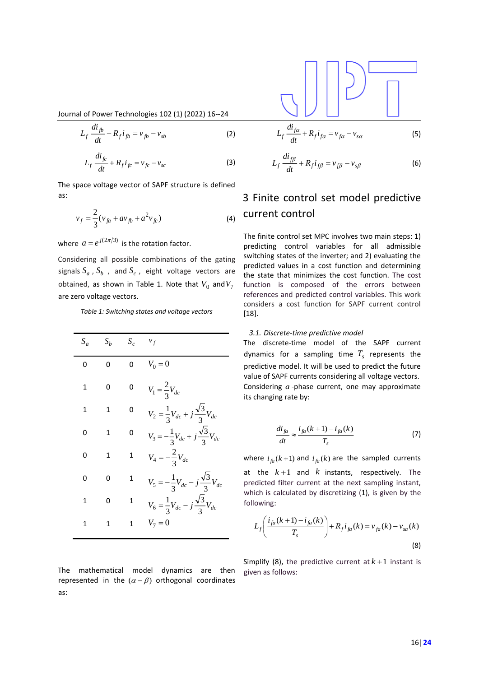Journal of Power Technologies 102 (1) (2022) 16--24

$$
L_f \frac{di_{fb}}{dt} + R_f i_{fb} = v_{fb} - v_{sb}
$$
 (2)

$$
L_f \frac{di_{fc}}{dt} + R_f i_{fc} = v_{fc} - v_{sc}
$$
 (3)

The space voltage vector of SAPF structure is defined as:

$$
v_f = \frac{2}{3}(v_{fa} + av_{fb} + a^2 v_{fc})
$$
 (4)

where  $a = e^{j(2\pi/3)}$  is the rotation factor.

Considering all possible combinations of the gating signals  $S_a$  ,  $S_b$  , and  $S_c$  , eight voltage vectors are obtained, as shown in Table 1. Note that  $V_0$  and $V_7$ are zero voltage vectors.

*Table 1: Switching states and voltage vectors*

| $S_a$ | $S_b$ | $S_c$ | $v_f$                                                    |
|-------|-------|-------|----------------------------------------------------------|
| O     | ŋ     | U     | $V_0 = 0$                                                |
| 1     | 0     | 0     | $V_1 = \frac{2}{3} V_{dc}$                               |
| 1     | 1     | n     | $V_2 = \frac{1}{3}V_{dc} + j\frac{\sqrt{3}}{3}V_{dc}$    |
| O     | 1     | ი     | $V_3 = -\frac{1}{3}V_{dc} + j\frac{\sqrt{3}}{3}V_{dc}$   |
| n     | 1     | 1     | $V_4 = -\frac{2}{3}V_{dc}$                               |
| 0     | 0     | 1     | $V_5 = -\frac{1}{3}V_{dc} - j\frac{\sqrt{3}}{3}V_{dc}$   |
| 1     | 0     | 1     | $V_6 = \frac{1}{3} V_{dc} - j \frac{\sqrt{3}}{3} V_{dc}$ |
| 1     | 1     | 1     | $V_7 = 0$                                                |

The mathematical model dynamics are then represented in the  $(\alpha - \beta)$  orthogonal coordinates as:

$$
L_f \frac{di_{f\alpha}}{dt} + R_f i_{f\alpha} = v_{f\alpha} - v_{s\alpha} \tag{5}
$$

$$
L_f \frac{di_{f\beta}}{dt} + R_f i_{f\beta} = v_{f\beta} - v_{s\beta}
$$
 (6)

# 3 Finite control set model predictive current control

The finite control set MPC involves two main steps: 1) predicting control variables for all admissible switching states of the inverter; and 2) evaluating the predicted values in a cost function and determining the state that minimizes the cost function. The cost function is composed of the errors between references and predicted control variables. This work considers a cost function for SAPF current control [18].

### *3.1. Discrete-time predictive model*

The discrete-time model of the SAPF current dynamics for a sampling time  $T_s$  represents the predictive model. It will be used to predict the future value of SAPF currents considering all voltage vectors. Considering *<sup>a</sup>* -phase current, one may approximate its changing rate by:

$$
\frac{di_{fa}}{dt} \approx \frac{i_{fa}(k+1) - i_{fa}(k)}{T_s} \tag{7}
$$

where  $i_{fa}(k+1)$  and  $i_{fa}(k)$  are the sampled currents at the  $k+1$  and  $k$  instants, respectively. The predicted filter current at the next sampling instant, which is calculated by discretizing (1), is given by the following:

$$
L_f \left( \frac{i_{fa}(k+1) - i_{fa}(k)}{T_s} \right) + R_f i_{fa}(k) = v_{fa}(k) - v_{sa}(k)
$$
\n(8)

Simplify (8), the predictive current at  $k+1$  instant is given as follows: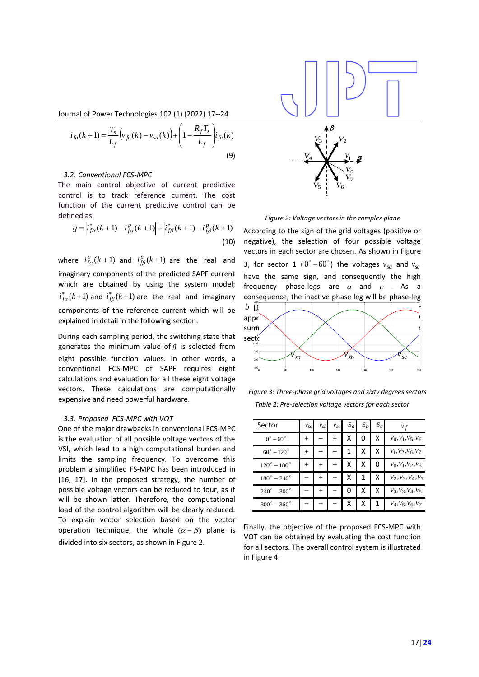β

Journal of Power Technologies 102 (1) (2022) 17--24

$$
i_{fa}(k+1) = \frac{T_s}{L_f} \Big( v_{fa}(k) - v_{sa}(k) \Big) + \Bigg( 1 - \frac{R_f T_s}{L_f} \Bigg) i_{fa}(k)
$$
\n(9)

### *3.2. Conventional FCS-MPC*

The main control objective of current predictive control is to track reference current. The cost function of the current predictive control can be defined as:

$$
g = \left| i_{f\alpha}^*(k+1) - i_{f\alpha}^P(k+1) \right| + \left| i_{f\beta}^*(k+1) - i_{f\beta}^P(k+1) \right|
$$
\n(10)

where  $i_{fa}^p(k+1)$  and  $i_{f\beta}^p(k+1)$  are the real and imaginary components of the predicted SAPF current which are obtained by using the system model;  $i_{fa}^*(k+1)$  and  $i_{f\beta}^*(k+1)$  are the real and imaginary components of the reference current which will be explained in detail in the following section.

During each sampling period, the switching state that generates the minimum value of *g* is selected from eight possible function values. In other words, a conventional FCS-MPC of SAPF requires eight calculations and evaluation for all these eight voltage vectors. These calculations are computationally expensive and need powerful hardware.

#### *3.3. Proposed FCS-MPC with VOT*

( $k = 1$ )  $\frac{1}{L_f} \int_{y_1(k)}^{x_2(k)} y_2(k) - v_{10}(k) \frac{1}{r} \left[1 - \frac{\frac{K_f(k)}{L_f}}{L_f}\right]_{y_2(k)}$ <br>
Conversional ratio of started current predictions<br>
(a) the treats relations control can be<br>
(a) the track relations control can be<br>
(a) One of the major drawbacks in conventional FCS-MPC is the evaluation of all possible voltage vectors of the VSI, which lead to a high computational burden and limits the sampling frequency. To overcome this problem a simplified FS-MPC has been introduced in [16, 17]. In the proposed strategy, the number of possible voltage vectors can be reduced to four, as it will be shown latter. Therefore, the computational load of the control algorithm will be clearly reduced. To explain vector selection based on the vector operation technique, the whole  $(\alpha - \beta)$  plane is divided into six sectors, as shown in Figure 2.



*Figure 2: Voltage vectors in the complex plane*

According to the sign of the grid voltages (positive or negative), the selection of four possible voltage vectors in each sector are chosen. As shown in Figure 3, for sector 1 ( $0^\circ - 60^\circ$ ) the voltages  $v_{sa}$  and  $v_{sc}$ have the same sign, and consequently the high frequency phase-legs are  $a$  and  $c$  . As a consequence, the inactive phase leg will be phase-leg



*Table 2: Pre-selection voltage vectors for each sector Figure 3: Three-phase grid voltages and sixty degrees sectors*

| Sector                      | $v_{sa}$ | $v_{sb}$ | $v_{sc}$ | $S_a$ | $S_b$ | $S_c$ | $v_f$                |
|-----------------------------|----------|----------|----------|-------|-------|-------|----------------------|
| $0^\circ - 60^\circ$        | +        |          | +        | x     | 0     | Χ     | $V_0, V_1, V_5, V_6$ |
| $60^\circ - 120^\circ$      | +        |          |          | 1     | x     | x     | $V_1, V_2, V_6, V_7$ |
| $120^{\circ} - 180^{\circ}$ |          |          |          | x     | x     | 0     | $V_0, V_1, V_2, V_3$ |
| $180^{\circ} - 240^{\circ}$ |          |          |          | x     |       | x     | $V_2, V_3, V_4, V_7$ |
| $240^{\circ} - 300^{\circ}$ |          |          | +        | 0     | x     | x     | $V_0, V_3, V_4, V_5$ |
| $300^\circ - 360^\circ$     |          |          | +        | x     | x     | 1     | $V_4, V_5, V_6, V_7$ |

Finally, the objective of the proposed FCS-MPC with VOT can be obtained by evaluating the cost function for all sectors. The overall control system is illustrated in Figure 4.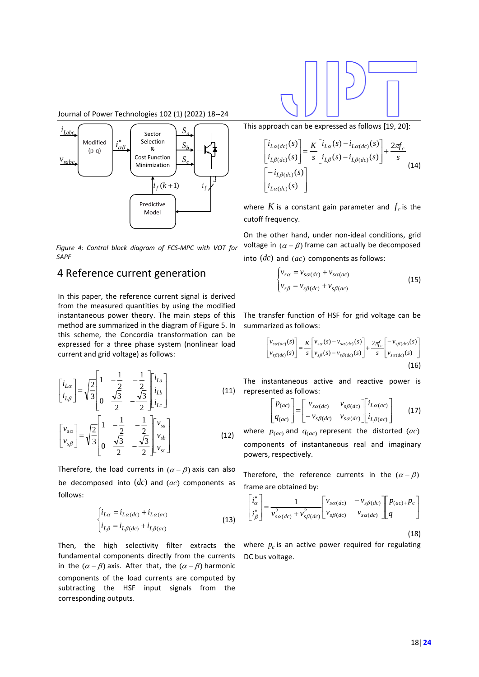

Journal of Power Technologies 102 (1) (2022) 18--24



*Figure 4: Control block diagram of FCS-MPC with VOT for SAPF*

## 4 Reference current generation

In this paper, the reference current signal is derived from the measured quantities by using the modified instantaneous power theory. The main steps of this method are summarized in the diagram of Figure 5. In this scheme, the Concordia transformation can be expressed for a three phase system (nonlinear load current and grid voltage) as follows:

$$
\begin{bmatrix} i_{L\alpha} \\ i_{L\beta} \end{bmatrix} = \sqrt{\frac{2}{3}} \begin{bmatrix} 1 & -\frac{1}{2} & -\frac{1}{2} \\ 0 & \frac{\sqrt{3}}{2} & -\frac{\sqrt{3}}{2} \end{bmatrix} \begin{bmatrix} i_{L\alpha} \\ i_{L\beta} \end{bmatrix}
$$
\n
$$
\begin{bmatrix} v_{s\alpha} \\ v_{s\beta} \end{bmatrix} = \sqrt{\frac{2}{3}} \begin{bmatrix} 1 & -\frac{1}{2} & -\frac{1}{2} \\ 0 & \frac{\sqrt{3}}{2} & -\frac{\sqrt{3}}{2} \end{bmatrix} \begin{bmatrix} v_{s\alpha} \\ v_{s\beta} \end{bmatrix}
$$
\n(12)

Therefore, the load currents in  $(\alpha - \beta)$  axis can also be decomposed into  $(dc)$  and  $(ac)$  components as follows:

$$
\begin{cases}\ni_{L\alpha} = i_{L\alpha(dc)} + i_{L\alpha(ac)} \\
i_{L\beta} = i_{L\beta(dc)} + i_{L\beta(ac)}\n\end{cases}
$$
\n(13)

Then, the high selectivity filter extracts the fundamental components directly from the currents in the  $(\alpha - \beta)$  axis. After that, the  $(\alpha - \beta)$  harmonic components of the load currents are computed by subtracting the HSF input signals from the corresponding outputs.

This approach can be expressed as follows [19, 20]:

$$
\begin{bmatrix} i_{L\alpha(dc)}(s) \\ i_{L\beta(dc)}(s) \end{bmatrix} = \frac{K}{s} \begin{bmatrix} i_{L\alpha}(s) - i_{L\alpha(dc)}(s) \\ i_{L\beta(s)} - i_{L\beta(dc)}(s) \end{bmatrix} + \frac{2\pi f_c}{s}
$$
\n
$$
\begin{bmatrix} -i_{L\beta(dc)}(s) \\ i_{L\alpha(dc)}(s) \end{bmatrix}
$$
\n(14)

where  $K$  is a constant gain parameter and  $f_c$  is the cutoff frequency.

On the other hand, under non-ideal conditions, grid voltage in  $(\alpha - \beta)$  frame can actually be decomposed into (*dc*) and (*ac*) components as follows:

$$
\begin{cases}\nv_{s\alpha} = v_{s\alpha(dc)} + v_{s\alpha(ac)} \\
v_{s\beta} = v_{s\beta(dc)} + v_{s\beta(ac)}\n\end{cases}
$$
\n(15)

The transfer function of HSF for grid voltage can be summarized as follows:

$$
\begin{bmatrix} v_{s\alpha(dc)}(s) \\ v_{s\beta(dc)}(s) \end{bmatrix} = \frac{K}{s} \begin{bmatrix} v_{s\alpha}(s) - v_{s\alpha(dc)}(s) \\ v_{s\beta}(s) - v_{s\beta(dc)}(s) \end{bmatrix} + \frac{2\pi}{s} \begin{bmatrix} -v_{s\beta(dc)}(s) \\ v_{s\alpha(dc)}(s) \end{bmatrix}
$$
\n(16)

 The instantaneous active and reactive power is represented as follows:

$$
\begin{bmatrix} p_{(ac)} \\ q_{(ac)} \end{bmatrix} = \begin{bmatrix} v_{sa(dc)} & v_{s\beta(dc)} \\ -v_{s\beta(dc)} & v_{sa(dc)} \end{bmatrix} \begin{bmatrix} i_{La(ac)} \\ i_{L\beta(ac)} \end{bmatrix}
$$
 (17)

where  $p_{(ac)}$  and  $q_{(ac)}$  represent the distorted  $(ac)$ components of instantaneous real and imaginary powers, respectively.

Therefore, the reference currents in the  $(\alpha - \beta)$ frame are obtained by:

$$
\begin{bmatrix} i_{\alpha}^* \\ i_{\beta}^* \end{bmatrix} = \frac{1}{v_{s\alpha(dc)}^2 + v_{s\beta(dc)}^2} \begin{bmatrix} v_{s\alpha(dc)} & -v_{s\beta(dc)} \\ v_{s\beta(dc)} & v_{s\alpha(dc)} \end{bmatrix} \begin{bmatrix} p_{(ac)+}p_c \\ q \end{bmatrix}
$$
\n(18)

where  $p_c$  is an active power required for regulating DC bus voltage.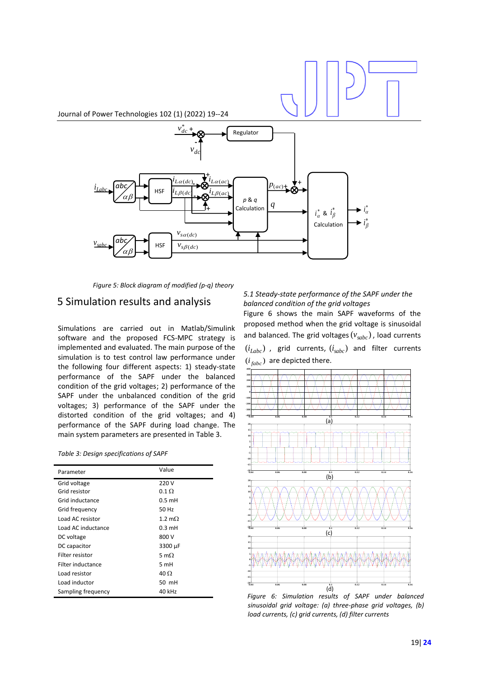

*Figure 5: Block diagram of modified (p-q) theory*

## 5 Simulation results and analysis

Simulations are carried out in Matlab/Simulink software and the proposed FCS-MPC strategy is implemented and evaluated. The main purpose of the simulation is to test control law performance under the following four different aspects: 1) steady-state performance of the SAPF under the balanced condition of the grid voltages; 2) performance of the SAPF under the unbalanced condition of the grid voltages; 3) performance of the SAPF under the distorted condition of the grid voltages; and 4) performance of the SAPF during load change. The main system parameters are presented in Table 3.

|  | Table 3: Design specifications of SAPF |  |
|--|----------------------------------------|--|
|--|----------------------------------------|--|

| Parameter          | Value            |  |  |
|--------------------|------------------|--|--|
| Grid voltage       | 220 V            |  |  |
| Grid resistor      | $0.1 \Omega$     |  |  |
| Grid inductance    | $0.5$ mH         |  |  |
| Grid frequency     | 50 Hz            |  |  |
| Load AC resistor   | 1.2 $m0$         |  |  |
| Load AC inductance | $0.3 \text{ mH}$ |  |  |
| DC voltage         | 800 V            |  |  |
| DC capacitor       | 3300 µF          |  |  |
| Filter resistor    | 5 m $\Omega$     |  |  |
| Filter inductance  | 5 mH             |  |  |
| Load resistor      | 40 $\Omega$      |  |  |
| Load inductor      | 50 mH            |  |  |
| Sampling frequency | 40 kHz           |  |  |

## *5.1 Steady-state performance of the SAPF under the balanced condition of the grid voltages*

Figure 6 shows the main SAPF waveforms of the proposed method when the grid voltage is sinusoidal and balanced. The grid voltages ( $v_{sabc}$ ), load currents  $(i_{\mathit{Labc}})$  , grid currents,  $(i_{\mathit{subc}})$  and filter currents  $(i_{\text{fabc}})$  are depicted there.



*Figure 6: Simulation results of SAPF under balanced sinusoidal grid voltage: (a) three-phase grid voltages, (b) load currents, (c) grid currents, (d) filter currents*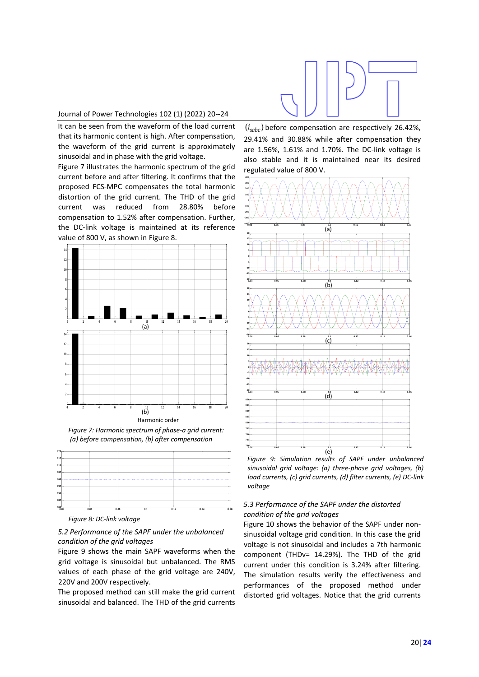## Journal of Power Technologies 102 (1) (2022) 20--24

It can be seen from the waveform of the load current that its harmonic content is high. After compensation, the waveform of the grid current is approximately sinusoidal and in phase with the grid voltage.

Figure 7 illustrates the harmonic spectrum of the grid current before and after filtering. It confirms that the proposed FCS-MPC compensates the total harmonic distortion of the grid current. The THD of the grid current was reduced from 28.80% before compensation to 1.52% after compensation. Further, the DC-link voltage is maintained at its reference value of 800 V, as shown in Figure 8.



*Figure 7: Harmonic spectrum of phase-a grid current: (a) before compensation, (b) after compensation*



*Figure 8: DC-link voltage*

## *5.2 Performance of the SAPF under the unbalanced condition of the grid voltages*

Figure 9 shows the main SAPF waveforms when the grid voltage is sinusoidal but unbalanced. The RMS values of each phase of the grid voltage are 240V, 220V and 200V respectively.

The proposed method can still make the grid current sinusoidal and balanced. The THD of the grid currents



 $\left(i_{sabc}\right)$  before compensation are respectively 26.42%, 29.41% and 30.88% while after compensation they are 1.56%, 1.61% and 1.70%. The DC-link voltage is also stable and it is maintained near its desired regulated value of 800 V.



*Figure 9: Simulation results of SAPF under unbalanced sinusoidal grid voltage: (a) three-phase grid voltages, (b) load currents, (c) grid currents, (d) filter currents, (e) DC-link voltage*

## *5.3 Performance of the SAPF under the distorted condition of the grid voltages*

Figure 10 shows the behavior of the SAPF under nonsinusoidal voltage grid condition. In this case the grid voltage is not sinusoidal and includes a 7th harmonic component (THDv= 14.29%). The THD of the grid current under this condition is 3.24% after filtering. The simulation results verify the effectiveness and performances of the proposed method under distorted grid voltages. Notice that the grid currents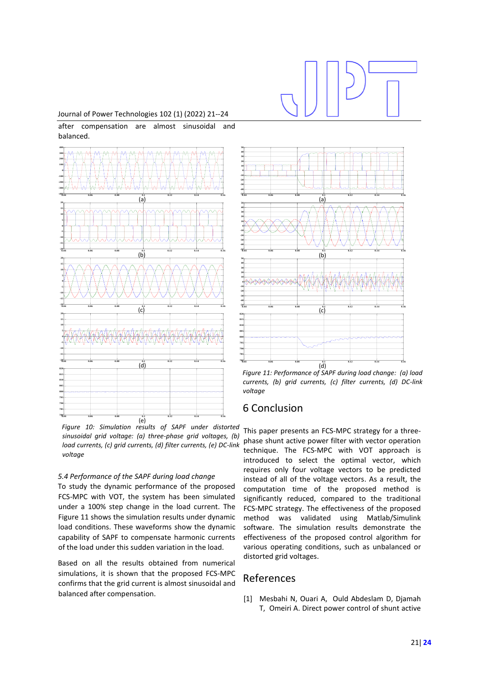## Journal of Power Technologies 102 (1) (2022) 21--24

after compensation are almost sinusoidal and balanced.



*Figure 10: Simulation results of SAPF under distorted*  (e) **0.04 0.06 0.08 0.1 0.12 0.14 0.16** *sinusoidal grid voltage: (a) three-phase grid voltages, (b) load currents, (c) grid currents, (d) filter currents, (e) DC-link voltage*

### *5.4 Performance of the SAPF during load change*

To study the dynamic performance of the proposed FCS-MPC with VOT, the system has been simulated under a 100% step change in the load current. The Figure 11 shows the simulation results under dynamic load conditions. These waveforms show the dynamic capability of SAPF to compensate harmonic currents of the load under this sudden variation in the load.

Based on all the results obtained from numerical simulations, it is shown that the proposed FCS-MPC confirms that the grid current is almost sinusoidal and balanced after compensation.



*Figure 11: Performance of SAPF during load change: (a) load currents, (b) grid currents, (c) filter currents, (d) DC-link voltage*

## 6 Conclusion

This paper presents an FCS-MPC strategy for a threephase shunt active power filter with vector operation technique. The FCS-MPC with VOT approach is introduced to select the optimal vector, which requires only four voltage vectors to be predicted instead of all of the voltage vectors. As a result, the computation time of the proposed method is significantly reduced, compared to the traditional FCS-MPC strategy. The effectiveness of the proposed method was validated using Matlab/Simulink software. The simulation results demonstrate the effectiveness of the proposed control algorithm for various operating conditions, such as unbalanced or distorted grid voltages.

## References

[1] Mesbahi N, Ouari A, Ould Abdeslam D, Djamah T, Omeiri A. Direct power control of shunt active